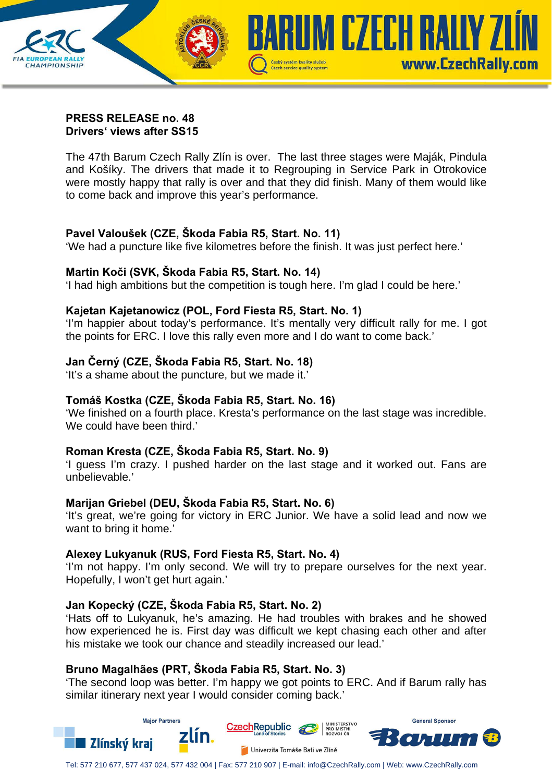

### **PRESS RELEASE no. 48 Drivers' views after SS15**

The 47th Barum Czech Rally Zlín is over. The last three stages were Maják, Pindula and Košíky. The drivers that made it to Regrouping in Service Park in Otrokovice were mostly happy that rally is over and that they did finish. Many of them would like to come back and improve this year's performance.

# **Pavel Valoušek (CZE, Škoda Fabia R5, Start. No. 11)**

'We had a puncture like five kilometres before the finish. It was just perfect here.'

## **Martin Koči (SVK, Škoda Fabia R5, Start. No. 14)**

'I had high ambitions but the competition is tough here. I'm glad I could be here.'

## **Kajetan Kajetanowicz (POL, Ford Fiesta R5, Start. No. 1)**

'I'm happier about today's performance. It's mentally very difficult rally for me. I got the points for ERC. I love this rally even more and I do want to come back.'

# **Jan Černý (CZE, Škoda Fabia R5, Start. No. 18)**

'It's a shame about the puncture, but we made it.'

## **Tomáš Kostka (CZE, Škoda Fabia R5, Start. No. 16)**

'We finished on a fourth place. Kresta's performance on the last stage was incredible. We could have been third.'

## **Roman Kresta (CZE, Škoda Fabia R5, Start. No. 9)**

'I guess I'm crazy. I pushed harder on the last stage and it worked out. Fans are unbelievable.'

## **Marijan Griebel (DEU, Škoda Fabia R5, Start. No. 6)**

'It's great, we're going for victory in ERC Junior. We have a solid lead and now we want to bring it home.'

## **Alexey Lukyanuk (RUS, Ford Fiesta R5, Start. No. 4)**

'I'm not happy. I'm only second. We will try to prepare ourselves for the next year. Hopefully, I won't get hurt again.'

## **Jan Kopecký (CZE, Škoda Fabia R5, Start. No. 2)**

'Hats off to Lukyanuk, he's amazing. He had troubles with brakes and he showed how experienced he is. First day was difficult we kept chasing each other and after his mistake we took our chance and steadily increased our lead.'

# **Bruno Magalhães (PRT, Škoda Fabia R5, Start. No. 3)**

'The second loop was better. I'm happy we got points to ERC. And if Barum rally has similar itinerary next year I would consider coming back.'



Tel: 577 210 677, 577 437 024, 577 432 004 | Fax: 577 210 907 | E-mail: info@CzechRally.com | Web: www.CzechRally.com